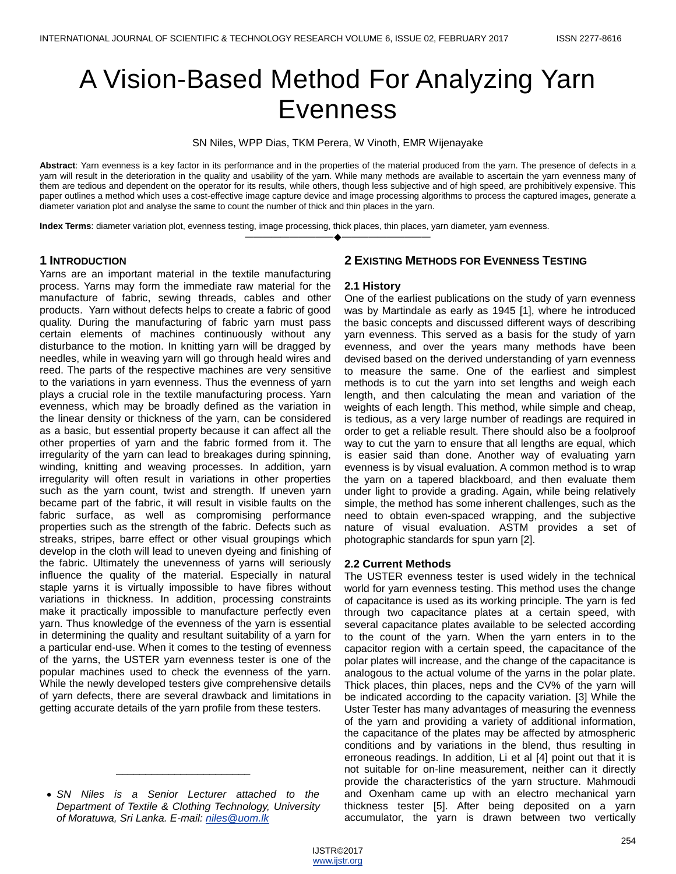# A Vision-Based Method For Analyzing Yarn Evenness

SN Niles, WPP Dias, TKM Perera, W Vinoth, EMR Wijenayake

**Abstract**: Yarn evenness is a key factor in its performance and in the properties of the material produced from the yarn. The presence of defects in a yarn will result in the deterioration in the quality and usability of the yarn. While many methods are available to ascertain the yarn evenness many of them are tedious and dependent on the operator for its results, while others, though less subjective and of high speed, are prohibitively expensive. This paper outlines a method which uses a cost-effective image capture device and image processing algorithms to process the captured images, generate a diameter variation plot and analyse the same to count the number of thick and thin places in the yarn.

————————————————————

**Index Terms**: diameter variation plot, evenness testing, image processing, thick places, thin places, yarn diameter, yarn evenness.

## **1 INTRODUCTION**

Yarns are an important material in the textile manufacturing process. Yarns may form the immediate raw material for the manufacture of fabric, sewing threads, cables and other products. Yarn without defects helps to create a fabric of good quality. During the manufacturing of fabric yarn must pass certain elements of machines continuously without any disturbance to the motion. In knitting yarn will be dragged by needles, while in weaving yarn will go through heald wires and reed. The parts of the respective machines are very sensitive to the variations in yarn evenness. Thus the evenness of yarn plays a crucial role in the textile manufacturing process. Yarn evenness, which may be broadly defined as the variation in the linear density or thickness of the yarn, can be considered as a basic, but essential property because it can affect all the other properties of yarn and the fabric formed from it. The irregularity of the yarn can lead to breakages during spinning, winding, knitting and weaving processes. In addition, yarn irregularity will often result in variations in other properties such as the yarn count, twist and strength. If uneven yarn became part of the fabric, it will result in visible faults on the fabric surface, as well as compromising performance properties such as the strength of the fabric. Defects such as streaks, stripes, barre effect or other visual groupings which develop in the cloth will lead to uneven dyeing and finishing of the fabric. Ultimately the unevenness of yarns will seriously influence the quality of the material. Especially in natural staple yarns it is virtually impossible to have fibres without variations in thickness. In addition, processing constraints make it practically impossible to manufacture perfectly even yarn. Thus knowledge of the evenness of the yarn is essential in determining the quality and resultant suitability of a yarn for a particular end-use. When it comes to the testing of evenness of the yarns, the USTER yarn evenness tester is one of the popular machines used to check the evenness of the yarn. While the newly developed testers give comprehensive details of yarn defects, there are several drawback and limitations in getting accurate details of the yarn profile from these testers.

\_\_\_\_\_\_\_\_\_\_\_\_\_\_\_\_\_\_\_\_\_\_\_

# **2 EXISTING METHODS FOR EVENNESS TESTING**

#### **2.1 History**

One of the earliest publications on the study of yarn evenness was by Martindale as early as 1945 [1], where he introduced the basic concepts and discussed different ways of describing yarn evenness. This served as a basis for the study of yarn evenness, and over the years many methods have been devised based on the derived understanding of yarn evenness to measure the same. One of the earliest and simplest methods is to cut the yarn into set lengths and weigh each length, and then calculating the mean and variation of the weights of each length. This method, while simple and cheap, is tedious, as a very large number of readings are required in order to get a reliable result. There should also be a foolproof way to cut the yarn to ensure that all lengths are equal, which is easier said than done. Another way of evaluating yarn evenness is by visual evaluation. A common method is to wrap the yarn on a tapered blackboard, and then evaluate them under light to provide a grading. Again, while being relatively simple, the method has some inherent challenges, such as the need to obtain even-spaced wrapping, and the subjective nature of visual evaluation. ASTM provides a set of photographic standards for spun yarn [2].

## **2.2 Current Methods**

The USTER evenness tester is used widely in the technical world for yarn evenness testing. This method uses the change of capacitance is used as its working principle. The yarn is fed through two capacitance plates at a certain speed, with several capacitance plates available to be selected according to the count of the yarn. When the yarn enters in to the capacitor region with a certain speed, the capacitance of the polar plates will increase, and the change of the capacitance is analogous to the actual volume of the yarns in the polar plate. Thick places, thin places, neps and the CV% of the yarn will be indicated according to the capacity variation. [3] While the Uster Tester has many advantages of measuring the evenness of the yarn and providing a variety of additional information, the capacitance of the plates may be affected by atmospheric conditions and by variations in the blend, thus resulting in erroneous readings. In addition, Li et al [4] point out that it is not suitable for on-line measurement, neither can it directly provide the characteristics of the yarn structure. Mahmoudi and Oxenham came up with an electro mechanical yarn thickness tester [5]. After being deposited on a yarn accumulator, the yarn is drawn between two vertically

*SN Niles is a Senior Lecturer attached to the Department of Textile & Clothing Technology, University of Moratuwa, Sri Lanka. E-mail: [niles@uom.lk](mailto:niles@uom.lk)*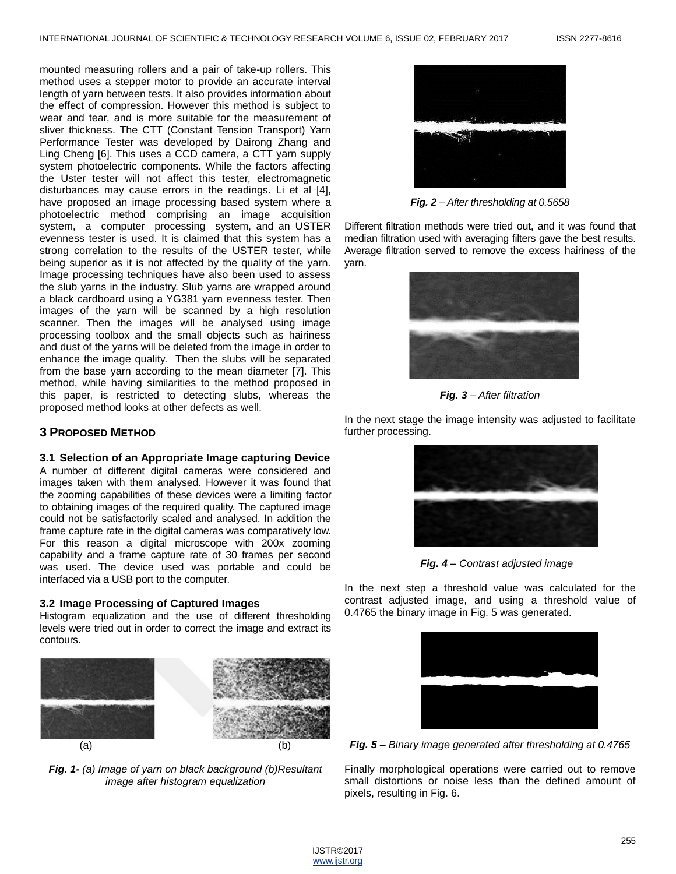mounted measuring rollers and a pair of take-up rollers. This method uses a stepper motor to provide an accurate interval length of yarn between tests. It also provides information about the effect of compression. However this method is subject to wear and tear, and is more suitable for the measurement of sliver thickness. The CTT (Constant Tension Transport) Yarn Performance Tester was developed by Dairong Zhang and Ling Cheng [6]. This uses a CCD camera, a CTT yarn supply system photoelectric components. While the factors affecting the Uster tester will not affect this tester, electromagnetic disturbances may cause errors in the readings. Li et al [4], have proposed an image processing based system where a photoelectric method comprising an image acquisition system, a computer processing system, and an USTER evenness tester is used. It is claimed that this system has a strong correlation to the results of the USTER tester, while being superior as it is not affected by the quality of the yarn. Image processing techniques have also been used to assess the slub yarns in the industry. Slub yarns are wrapped around a black cardboard using a YG381 yarn evenness tester. Then images of the yarn will be scanned by a high resolution scanner. Then the images will be analysed using image processing toolbox and the small objects such as hairiness and dust of the yarns will be deleted from the image in order to enhance the image quality. Then the slubs will be separated from the base yarn according to the mean diameter [7]. This method, while having similarities to the method proposed in this paper, is restricted to detecting slubs, whereas the proposed method looks at other defects as well.

# **3 PROPOSED METHOD**

## **3.1 Selection of an Appropriate Image capturing Device**

A number of different digital cameras were considered and images taken with them analysed. However it was found that the zooming capabilities of these devices were a limiting factor to obtaining images of the required quality. The captured image could not be satisfactorily scaled and analysed. In addition the frame capture rate in the digital cameras was comparatively low. For this reason a digital microscope with 200x zooming capability and a frame capture rate of 30 frames per second was used. The device used was portable and could be interfaced via a USB port to the computer.

## **3.2 Image Processing of Captured Images**

Histogram equalization and the use of different thresholding levels were tried out in order to correct the image and extract its contours.



*Fig. 1- (a) Image of yarn on black background (b)Resultant image after histogram equalization*



*Fig. 2 – After thresholding at 0.5658*

Different filtration methods were tried out, and it was found that median filtration used with averaging filters gave the best results. Average filtration served to remove the excess hairiness of the yarn.



*Fig. 3 – After filtration*

In the next stage the image intensity was adjusted to facilitate further processing.



*Fig. 4 – Contrast adjusted image*

In the next step a threshold value was calculated for the contrast adjusted image, and using a threshold value of 0.4765 the binary image in Fig. 5 was generated.



*Fig. 5 – Binary image generated after thresholding at 0.4765*

Finally morphological operations were carried out to remove small distortions or noise less than the defined amount of pixels, resulting in Fig. 6.